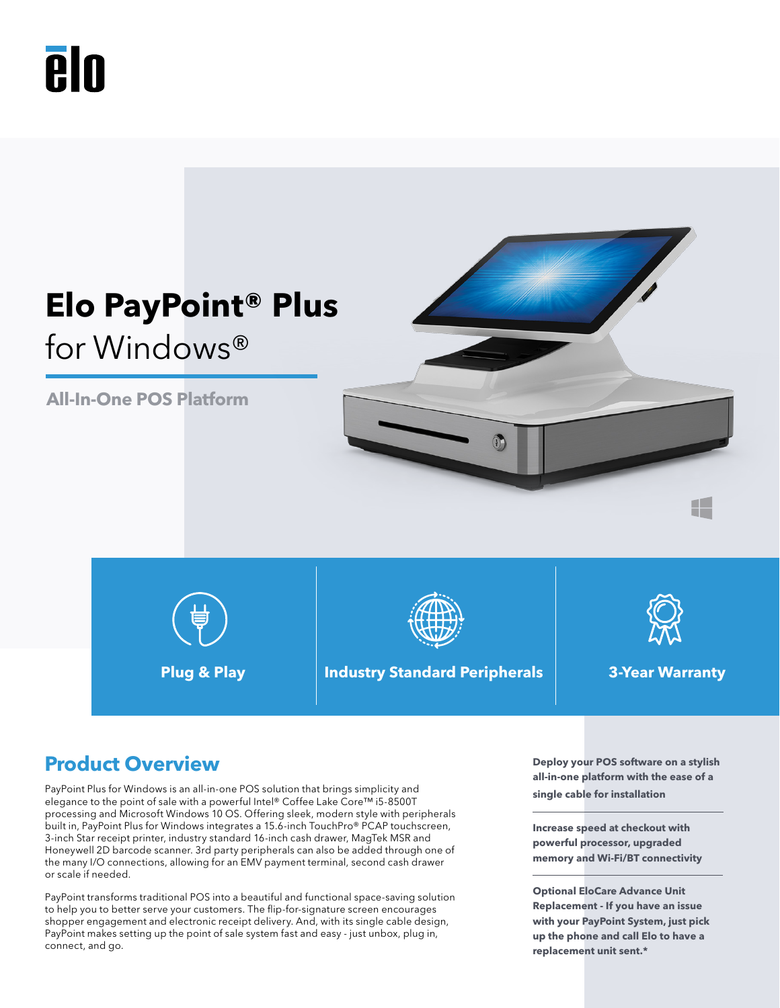# **PIN**



# **Product Overview Deploy your POS software on a stylish**

PayPoint Plus for Windows is an all-in-one POS solution that brings simplicity and elegance to the point of sale with a powerful Intel® Coffee Lake Core™ i5-8500T processing and Microsoft Windows 10 OS. Offering sleek, modern style with peripherals built in, PayPoint Plus for Windows integrates a 15.6-inch TouchPro® PCAP touchscreen, 3-inch Star receipt printer, industry standard 16-inch cash drawer, MagTek MSR and Honeywell 2D barcode scanner. 3rd party peripherals can also be added through one of the many I/O connections, allowing for an EMV payment terminal, second cash drawer or scale if needed.

PayPoint transforms traditional POS into a beautiful and functional space-saving solution to help you to better serve your customers. The flip-for-signature screen encourages shopper engagement and electronic receipt delivery. And, with its single cable design, PayPoint makes setting up the point of sale system fast and easy - just unbox, plug in, connect, and go.

**all-in-one platform with the ease of a single cable for installation**

**Increase speed at checkout with powerful processor, upgraded memory and Wi-Fi/BT connectivity**

**Optional EloCare Advance Unit Replacement - If you have an issue with your PayPoint System, just pick up the phone and call Elo to have a replacement unit sent.\***